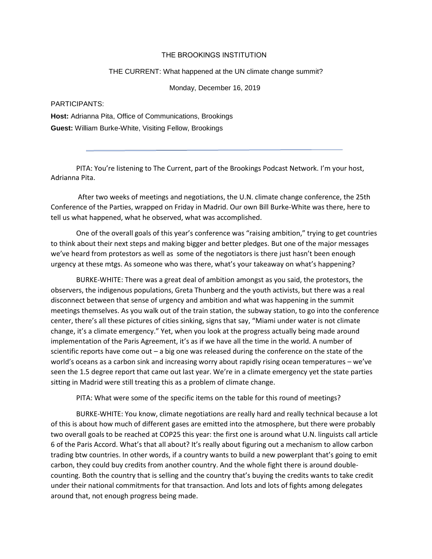## THE BROOKINGS INSTITUTION

## THE CURRENT: What happened at the UN climate change summit?

Monday, December 16, 2019

## PARTICIPANTS:

**Host:** Adrianna Pita, Office of Communications, Brookings **Guest:** William Burke-White, Visiting Fellow, Brookings

PITA: You're listening to The Current, part of the Brookings Podcast Network. I'm your host, Adrianna Pita.

After two weeks of meetings and negotiations, the U.N. climate change conference, the 25th Conference of the Parties, wrapped on Friday in Madrid. Our own Bill Burke-White was there, here to tell us what happened, what he observed, what was accomplished.

One of the overall goals of this year's conference was "raising ambition," trying to get countries to think about their next steps and making bigger and better pledges. But one of the major messages we've heard from protestors as well as some of the negotiators is there just hasn't been enough urgency at these mtgs. As someone who was there, what's your takeaway on what's happening?

BURKE-WHITE: There was a great deal of ambition amongst as you said, the protestors, the observers, the indigenous populations, Greta Thunberg and the youth activists, but there was a real disconnect between that sense of urgency and ambition and what was happening in the summit meetings themselves. As you walk out of the train station, the subway station, to go into the conference center, there's all these pictures of cities sinking, signs that say, "Miami under water is not climate change, it's a climate emergency." Yet, when you look at the progress actually being made around implementation of the Paris Agreement, it's as if we have all the time in the world. A number of scientific reports have come out  $-$  a big one was released during the conference on the state of the world's oceans as a carbon sink and increasing worry about rapidly rising ocean temperatures – we've seen the 1.5 degree report that came out last year. We're in a climate emergency yet the state parties sitting in Madrid were still treating this as a problem of climate change.

PITA: What were some of the specific items on the table for this round of meetings?

BURKE-WHITE: You know, climate negotiations are really hard and really technical because a lot of this is about how much of different gases are emitted into the atmosphere, but there were probably two overall goals to be reached at COP25 this year: the first one is around what U.N. linguists call article 6 of the Paris Accord. What's that all about? It's really about figuring out a mechanism to allow carbon trading btw countries. In other words, if a country wants to build a new powerplant that's going to emit carbon, they could buy credits from another country. And the whole fight there is around doublecounting. Both the country that is selling and the country that's buying the credits wants to take credit under their national commitments for that transaction. And lots and lots of fights among delegates around that, not enough progress being made.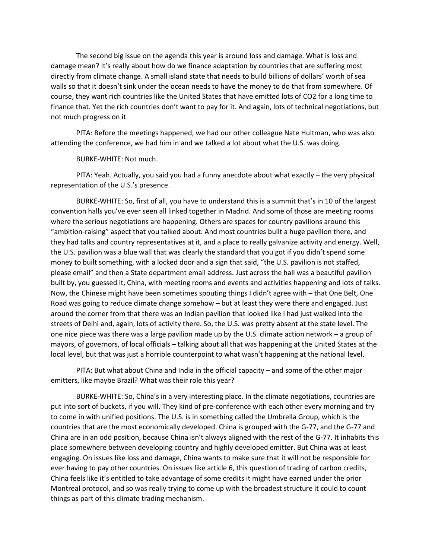The second big issue on the agenda this year is around loss and damage. What is loss and damage mean? It's really about how do we finance adaptation by countries that are suffering most directly from climate change. A small island state that needs to build billions of dollars' worth of sea walls so that it doesn't sink under the ocean needs to have the money to do that from somewhere. Of course, they want rich countries like the United States that have emitted lots of CO2 for a long time to finance that. Yet the rich countries don't want to pay for it. And again, lots of technical negotiations, but not much progress on it.

PITA: Before the meetings happened, we had our other colleague Nate Hultman, who was also attending the conference, we had him in and we talked a lot about what the U.S. was doing.

BURKE-WHITE: Not much.

PITA: Yeah. Actually, you said you had a funny anecdote about what exactly – the very physical representation of the U.S.'s presence.

BURKE-WHITE: So, first of all, you have to understand this is a summit that's in 10 of the largest convention halls you've ever seen all linked together in Madrid. And some of those are meeting rooms where the serious negotiations are happening. Others are spaces for country pavilions around this "ambition-raising" aspect that you talked about. And most countries built a huge pavilion there, and they had talks and country representatives at it, and a place to really galvanize activity and energy. Well, the U.S. pavilion was a blue wall that was clearly the standard that you got if you didn't spend some money to built something, with a locked door and a sign that said, "the U.S. pavilion is not staffed, please email" and then a State department email address. Just across the hall was a beautiful pavilion built by, you guessed it, China, with meeting rooms and events and activities happening and lots of talks. Now, the Chinese might have been sometimes spouting things I didn't agree with – that One Belt, One Road was going to reduce climate change somehow – but at least they were there and engaged. Just around the corner from that there was an Indian pavilion that looked like I had just walked into the streets of Delhi and, again, lots of activity there. So, the U.S. was pretty absent at the state level. The one nice piece was there was a large pavilion made up by the U.S. climate action network – a group of mayors, of governors, of local officials – talking about all that was happening at the United States at the local level, but that was just a horrible counterpoint to what wasn't happening at the national level.

PITA: But what about China and India in the official capacity – and some of the other major emitters, like maybe Brazil? What was their role this year?

BURKE-WHITE: So, China's in a very interesting place. In the climate negotiations, countries are put into sort of buckets, if you will. They kind of pre-conference with each other every morning and try to come in with unified positions. The U.S. is in something called the Umbrella Group, which is the countries that are the most economically developed. China is grouped with the G-77, and the G-77 and China are in an odd position, because China isn't always aligned with the rest of the G-77. It inhabits this place somewhere between developing country and highly developed emitter. But China was at least engaging. On issues like loss and damage, China wants to make sure that it will not be responsible for ever having to pay other countries. On issues like article 6, this question of trading of carbon credits, China feels like it's entitled to take advantage of some credits it might have earned under the prior Montreal protocol, and so was really trying to come up with the broadest structure it could to count things as part of this climate trading mechanism.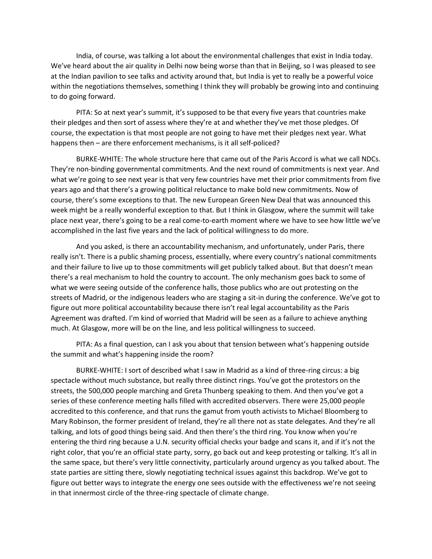India, of course, was talking a lot about the environmental challenges that exist in India today. We've heard about the air quality in Delhi now being worse than that in Beijing, so I was pleased to see at the Indian pavilion to see talks and activity around that, but India is yet to really be a powerful voice within the negotiations themselves, something I think they will probably be growing into and continuing to do going forward.

PITA: So at next year's summit, it's supposed to be that every five years that countries make their pledges and then sort of assess where they're at and whether they've met those pledges. Of course, the expectation is that most people are not going to have met their pledges next year. What happens then – are there enforcement mechanisms, is it all self-policed?

BURKE-WHITE: The whole structure here that came out of the Paris Accord is what we call NDCs. They're non-binding governmental commitments. And the next round of commitments is next year. And what we're going to see next year is that very few countries have met their prior commitments from five years ago and that there's a growing political reluctance to make bold new commitments. Now of course, there's some exceptions to that. The new European Green New Deal that was announced this week might be a really wonderful exception to that. But I think in Glasgow, where the summit will take place next year, there's going to be a real come-to-earth moment where we have to see how little we've accomplished in the last five years and the lack of political willingness to do more.

And you asked, is there an accountability mechanism, and unfortunately, under Paris, there really isn't. There is a public shaming process, essentially, where every country's national commitments and their failure to live up to those commitments will get publicly talked about. But that doesn't mean there's a real mechanism to hold the country to account. The only mechanism goes back to some of what we were seeing outside of the conference halls, those publics who are out protesting on the streets of Madrid, or the indigenous leaders who are staging a sit-in during the conference. We've got to figure out more political accountability because there isn't real legal accountability as the Paris Agreement was drafted. I'm kind of worried that Madrid will be seen as a failure to achieve anything much. At Glasgow, more will be on the line, and less political willingness to succeed.

PITA: As a final question, can I ask you about that tension between what's happening outside the summit and what's happening inside the room?

BURKE-WHITE: I sort of described what I saw in Madrid as a kind of three-ring circus: a big spectacle without much substance, but really three distinct rings. You've got the protestors on the streets, the 500,000 people marching and Greta Thunberg speaking to them. And then you've got a series of these conference meeting halls filled with accredited observers. There were 25,000 people accredited to this conference, and that runs the gamut from youth activists to Michael Bloomberg to Mary Robinson, the former president of Ireland, they're all there not as state delegates. And they're all talking, and lots of good things being said. And then there's the third ring. You know when you're entering the third ring because a U.N. security official checks your badge and scans it, and if it's not the right color, that you're an official state party, sorry, go back out and keep protesting or talking. It's all in the same space, but there's very little connectivity, particularly around urgency as you talked about. The state parties are sitting there, slowly negotiating technical issues against this backdrop. We've got to figure out better ways to integrate the energy one sees outside with the effectiveness we're not seeing in that innermost circle of the three-ring spectacle of climate change.